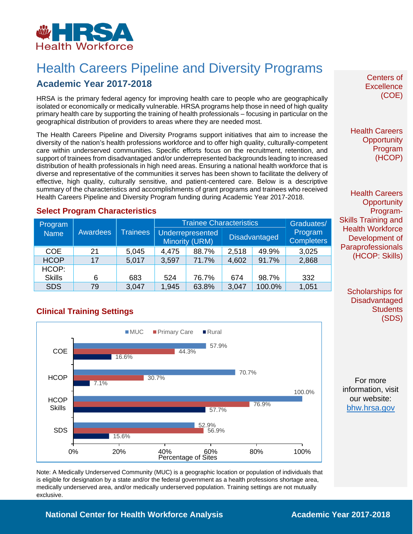

# Health Careers Pipeline and Diversity Programs

## **Academic Year 2017-2018**

HRSA is the primary federal agency for improving health care to people who are geographically isolated or economically or medically vulnerable. HRSA programs help those in need of high quality primary health care by supporting the training of health professionals – focusing in particular on the geographical distribution of providers to areas where they are needed most.

The Health Careers Pipeline and Diversity Programs support initiatives that aim to increase the diversity of the nation's health professions workforce and to offer high quality, culturally-competent care within underserved communities. Specific efforts focus on the recruitment, retention, and support of trainees from disadvantaged and/or underrepresented backgrounds leading to increased distribution of health professionals in high need areas. Ensuring a national health workforce that is diverse and representative of the communities it serves has been shown to facilitate the delivery of effective, high quality, culturally sensitive, and patient-centered care. Below is a descriptive summary of the characteristics and accomplishments of grant programs and trainees who received Health Careers Pipeline and Diversity Program funding during Academic Year 2017-2018.

#### **Select Program Characteristics**

| Program       | Awardees | <b>Trainees</b> | <b>Trainee Characteristics</b> |                                    |       |                      | Graduates/                   |
|---------------|----------|-----------------|--------------------------------|------------------------------------|-------|----------------------|------------------------------|
| <b>Name</b>   |          |                 |                                | Underrepresented<br>Minority (URM) |       | <b>Disadvantaged</b> | Program<br><b>Completers</b> |
| <b>COE</b>    | 21       | 5,045           | 4,475                          | 88.7%                              | 2,518 | 49.9%                | 3,025                        |
| <b>HCOP</b>   | 17       | 5,017           | 3,597                          | 71.7%                              | 4,602 | 91.7%                | 2,868                        |
| HCOP:         |          |                 |                                |                                    |       |                      |                              |
| <b>Skills</b> | 6        | 683             | 524                            | 76.7%                              | 674   | 98.7%                | 332                          |
| <b>SDS</b>    | 79       | 3,047           | 1,945                          | 63.8%                              | 3,047 | 100.0%               | 1,051                        |

#### **Clinical Training Settings**



Note: A Medically Underserved Community (MUC) is a geographic location or population of individuals that is eligible for designation by a state and/or the federal government as a health professions shortage area, medically underserved area, and/or medically underserved population. Training settings are not mutually exclusive.

Centers of **Excellence** (COE)

Health Careers **Opportunity** Program (HCOP)

Health Careers **Opportunity** Program-Skills Training and Health Workforce Development of **Paraprofessionals** (HCOP: Skills)

> Scholarships for **Disadvantaged Students** (SDS)

For more information, visit our website: [bhw.hrsa.gov](http://bhw.hrsa.gov/)

### **National Center for Health Workforce Analysis Mational Center 2017-2018**